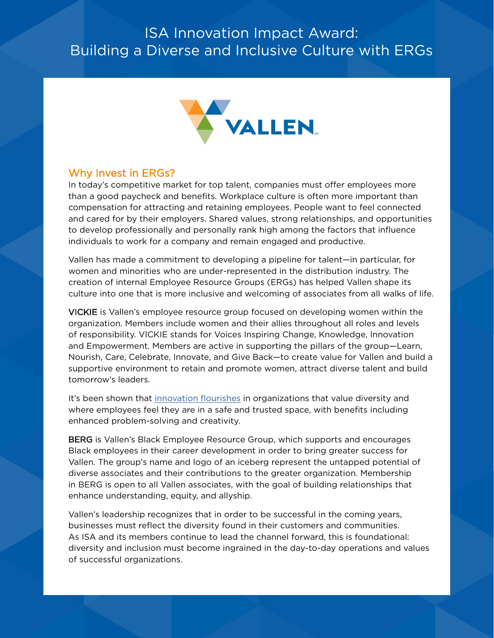# ISA Innovation Impact Award: Building a Diverse and Inclusive Culture with ERGs



## Why Invest in ERGs?

In today's competitive market for top talent, companies must offer employees more than a good paycheck and benefits. Workplace culture is often more important than compensation for attracting and retaining employees. People want to feel connected and cared for by their employers. Shared values, strong relationships, and opportunities to develop professionally and personally rank high among the factors that influence individuals to work for a company and remain engaged and productive.

Vallen has made a commitment to developing a pipeline for talent—in particular, for women and minorities who are under-represented in the distribution industry. The creation of internal Employee Resource Groups (ERGs) has helped Vallen shape its culture into one that is more inclusive and welcoming of associates from all walks of life.

VICKIE is Vallen's employee resource group focused on developing women within the organization. Members include women and their allies throughout all roles and levels of responsibility. VICKIE stands for Voices Inspiring Change, Knowledge, Innovation and Empowerment. Members are active in supporting the pillars of the group—Learn, Nourish, Care, Celebrate, Innovate, and Give Back—to create value for Vallen and build a supportive environment to retain and promote women, attract diverse talent and build tomorrow's leaders.

It's been shown that [innovation flourishes](https://www.catalyst.org/research/why-diversity-and-inclusion-matter/) in organizations that value diversity and where employees feel they are in a safe and trusted space, with benefits including enhanced problem-solving and creativity.

BERG is Vallen's Black Employee Resource Group, which supports and encourages Black employees in their career development in order to bring greater success for Vallen. The group's name and logo of an iceberg represent the untapped potential of diverse associates and their contributions to the greater organization. Membership in BERG is open to all Vallen associates, with the goal of building relationships that enhance understanding, equity, and allyship.

Vallen's leadership recognizes that in order to be successful in the coming years, businesses must reflect the diversity found in their customers and communities. As ISA and its members continue to lead the channel forward, this is foundational: diversity and inclusion must become ingrained in the day-to-day operations and values of successful organizations.